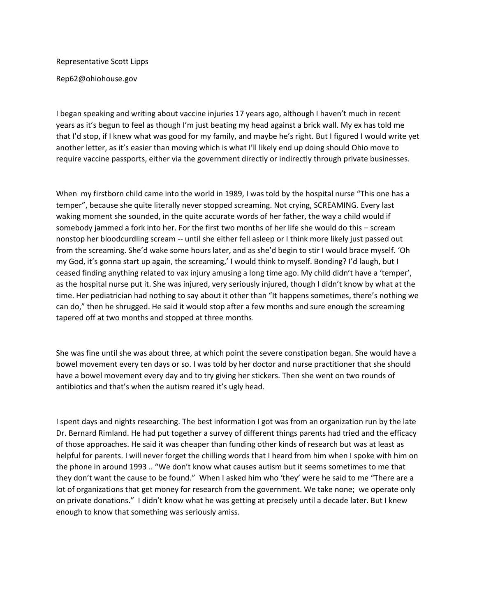## Representative Scott Lipps

Rep62@ohiohouse.gov

I began speaking and writing about vaccine injuries 17 years ago, although I haven't much in recent years as it's begun to feel as though I'm just beating my head against a brick wall. My ex has told me that I'd stop, if I knew what was good for my family, and maybe he's right. But I figured I would write yet another letter, as it's easier than moving which is what I'll likely end up doing should Ohio move to require vaccine passports, either via the government directly or indirectly through private businesses.

When my firstborn child came into the world in 1989, I was told by the hospital nurse "This one has a temper", because she quite literally never stopped screaming. Not crying, SCREAMING. Every last waking moment she sounded, in the quite accurate words of her father, the way a child would if somebody jammed a fork into her. For the first two months of her life she would do this – scream nonstop her bloodcurdling scream -- until she either fell asleep or I think more likely just passed out from the screaming. She'd wake some hours later, and as she'd begin to stir I would brace myself. 'Oh my God, it's gonna start up again, the screaming,' I would think to myself. Bonding? I'd laugh, but I ceased finding anything related to vax injury amusing a long time ago. My child didn't have a 'temper', as the hospital nurse put it. She was injured, very seriously injured, though I didn't know by what at the time. Her pediatrician had nothing to say about it other than "It happens sometimes, there's nothing we can do," then he shrugged. He said it would stop after a few months and sure enough the screaming tapered off at two months and stopped at three months.

She was fine until she was about three, at which point the severe constipation began. She would have a bowel movement every ten days or so. I was told by her doctor and nurse practitioner that she should have a bowel movement every day and to try giving her stickers. Then she went on two rounds of antibiotics and that's when the autism reared it's ugly head.

I spent days and nights researching. The best information I got was from an organization run by the late Dr. Bernard Rimland. He had put together a survey of different things parents had tried and the efficacy of those approaches. He said it was cheaper than funding other kinds of research but was at least as helpful for parents. I will never forget the chilling words that I heard from him when I spoke with him on the phone in around 1993 .. "We don't know what causes autism but it seems sometimes to me that they don't want the cause to be found." When I asked him who 'they' were he said to me "There are a lot of organizations that get money for research from the government. We take none; we operate only on private donations." I didn't know what he was getting at precisely until a decade later. But I knew enough to know that something was seriously amiss.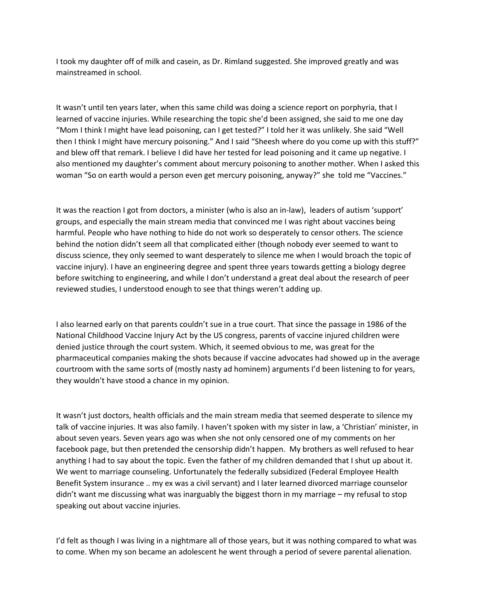I took my daughter off of milk and casein, as Dr. Rimland suggested. She improved greatly and was mainstreamed in school.

It wasn't until ten years later, when this same child was doing a science report on porphyria, that I learned of vaccine injuries. While researching the topic she'd been assigned, she said to me one day "Mom I think I might have lead poisoning, can I get tested?" I told her it was unlikely. She said "Well then I think I might have mercury poisoning." And I said "Sheesh where do you come up with this stuff?" and blew off that remark. I believe I did have her tested for lead poisoning and it came up negative. I also mentioned my daughter's comment about mercury poisoning to another mother. When I asked this woman "So on earth would a person even get mercury poisoning, anyway?" she told me "Vaccines."

It was the reaction I got from doctors, a minister (who is also an in-law), leaders of autism 'support' groups, and especially the main stream media that convinced me I was right about vaccines being harmful. People who have nothing to hide do not work so desperately to censor others. The science behind the notion didn't seem all that complicated either (though nobody ever seemed to want to discuss science, they only seemed to want desperately to silence me when I would broach the topic of vaccine injury). I have an engineering degree and spent three years towards getting a biology degree before switching to engineering, and while I don't understand a great deal about the research of peer reviewed studies, I understood enough to see that things weren't adding up.

I also learned early on that parents couldn't sue in a true court. That since the passage in 1986 of the National Childhood Vaccine Injury Act by the US congress, parents of vaccine injured children were denied justice through the court system. Which, it seemed obvious to me, was great for the pharmaceutical companies making the shots because if vaccine advocates had showed up in the average courtroom with the same sorts of (mostly nasty ad hominem) arguments I'd been listening to for years, they wouldn't have stood a chance in my opinion.

It wasn't just doctors, health officials and the main stream media that seemed desperate to silence my talk of vaccine injuries. It was also family. I haven't spoken with my sister in law, a 'Christian' minister, in about seven years. Seven years ago was when she not only censored one of my comments on her facebook page, but then pretended the censorship didn't happen. My brothers as well refused to hear anything I had to say about the topic. Even the father of my children demanded that I shut up about it. We went to marriage counseling. Unfortunately the federally subsidized (Federal Employee Health Benefit System insurance .. my ex was a civil servant) and I later learned divorced marriage counselor didn't want me discussing what was inarguably the biggest thorn in my marriage – my refusal to stop speaking out about vaccine injuries.

I'd felt as though I was living in a nightmare all of those years, but it was nothing compared to what was to come. When my son became an adolescent he went through a period of severe parental alienation.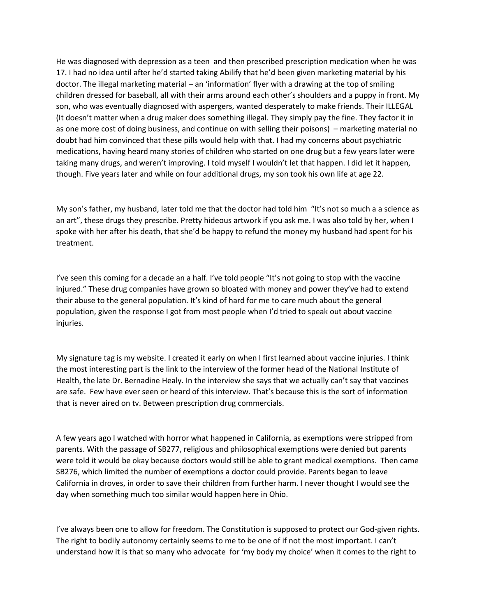He was diagnosed with depression as a teen and then prescribed prescription medication when he was 17. I had no idea until after he'd started taking Abilify that he'd been given marketing material by his doctor. The illegal marketing material – an 'information' flyer with a drawing at the top of smiling children dressed for baseball, all with their arms around each other's shoulders and a puppy in front. My son, who was eventually diagnosed with aspergers, wanted desperately to make friends. Their ILLEGAL (It doesn't matter when a drug maker does something illegal. They simply pay the fine. They factor it in as one more cost of doing business, and continue on with selling their poisons) – marketing material no doubt had him convinced that these pills would help with that. I had my concerns about psychiatric medications, having heard many stories of children who started on one drug but a few years later were taking many drugs, and weren't improving. I told myself I wouldn't let that happen. I did let it happen, though. Five years later and while on four additional drugs, my son took his own life at age 22.

My son's father, my husband, later told me that the doctor had told him "It's not so much a a science as an art", these drugs they prescribe. Pretty hideous artwork if you ask me. I was also told by her, when I spoke with her after his death, that she'd be happy to refund the money my husband had spent for his treatment.

I've seen this coming for a decade an a half. I've told people "It's not going to stop with the vaccine injured." These drug companies have grown so bloated with money and power they've had to extend their abuse to the general population. It's kind of hard for me to care much about the general population, given the response I got from most people when I'd tried to speak out about vaccine injuries.

My signature tag is my website. I created it early on when I first learned about vaccine injuries. I think the most interesting part is the link to the interview of the former head of the National Institute of Health, the late Dr. Bernadine Healy. In the interview she says that we actually can't say that vaccines are safe. Few have ever seen or heard of this interview. That's because this is the sort of information that is never aired on tv. Between prescription drug commercials.

A few years ago I watched with horror what happened in California, as exemptions were stripped from parents. With the passage of SB277, religious and philosophical exemptions were denied but parents were told it would be okay because doctors would still be able to grant medical exemptions. Then came SB276, which limited the number of exemptions a doctor could provide. Parents began to leave California in droves, in order to save their children from further harm. I never thought I would see the day when something much too similar would happen here in Ohio.

I've always been one to allow for freedom. The Constitution is supposed to protect our God-given rights. The right to bodily autonomy certainly seems to me to be one of if not the most important. I can't understand how it is that so many who advocate for 'my body my choice' when it comes to the right to